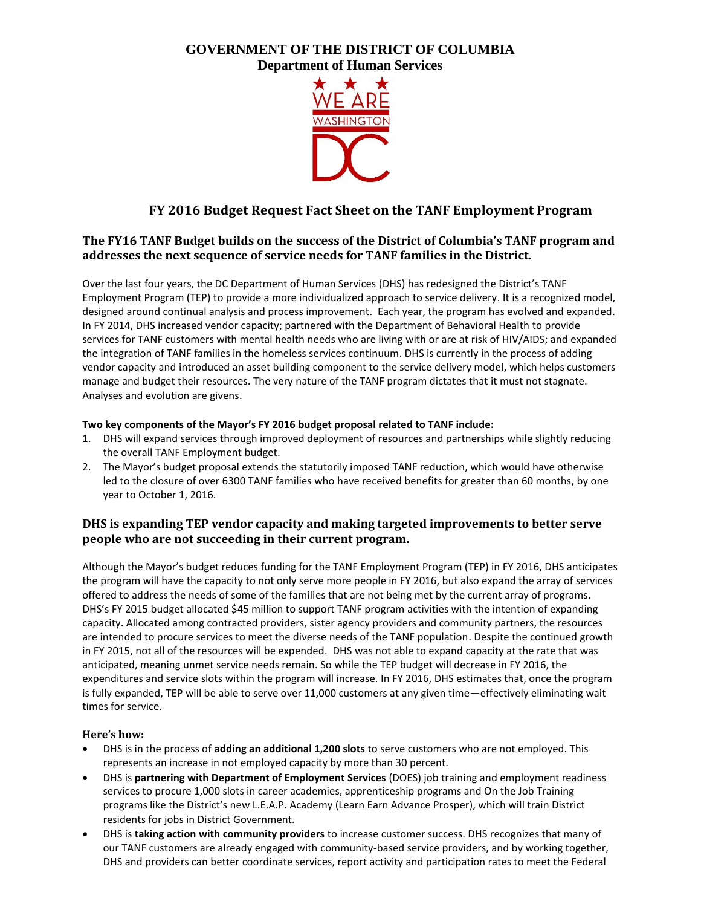# **GOVERNMENT OF THE DISTRICT OF COLUMBIA Department of Human Services**



# **FY 2016 Budget Request Fact Sheet on the TANF Employment Program**

# **The FY16 TANF Budget builds on the success of the District of Columbia's TANF program and addresses the next sequence of service needs for TANF families in the District.**

Over the last four years, the DC Department of Human Services (DHS) has redesigned the District's TANF Employment Program (TEP) to provide a more individualized approach to service delivery. It is a recognized model, designed around continual analysis and process improvement. Each year, the program has evolved and expanded. In FY 2014, DHS increased vendor capacity; partnered with the Department of Behavioral Health to provide services for TANF customers with mental health needs who are living with or are at risk of HIV/AIDS; and expanded the integration of TANF families in the homeless services continuum. DHS is currently in the process of adding vendor capacity and introduced an asset building component to the service delivery model, which helps customers manage and budget their resources. The very nature of the TANF program dictates that it must not stagnate. Analyses and evolution are givens.

## **Two key components of the Mayor's FY 2016 budget proposal related to TANF include:**

- 1. DHS will expand services through improved deployment of resources and partnerships while slightly reducing the overall TANF Employment budget.
- 2. The Mayor's budget proposal extends the statutorily imposed TANF reduction, which would have otherwise led to the closure of over 6300 TANF families who have received benefits for greater than 60 months, by one year to October 1, 2016.

## **DHS is expanding TEP vendor capacity and making targeted improvements to better serve people who are not succeeding in their current program.**

Although the Mayor's budget reduces funding for the TANF Employment Program (TEP) in FY 2016, DHS anticipates the program will have the capacity to not only serve more people in FY 2016, but also expand the array of services offered to address the needs of some of the families that are not being met by the current array of programs. DHS's FY 2015 budget allocated \$45 million to support TANF program activities with the intention of expanding capacity. Allocated among contracted providers, sister agency providers and community partners, the resources are intended to procure services to meet the diverse needs of the TANF population. Despite the continued growth in FY 2015, not all of the resources will be expended. DHS was not able to expand capacity at the rate that was anticipated, meaning unmet service needs remain. So while the TEP budget will decrease in FY 2016, the expenditures and service slots within the program will increase. In FY 2016, DHS estimates that, once the program is fully expanded, TEP will be able to serve over 11,000 customers at any given time—effectively eliminating wait times for service.

### **Here's how:**

- DHS is in the process of **adding an additional 1,200 slots** to serve customers who are not employed. This represents an increase in not employed capacity by more than 30 percent.
- DHS is **partnering with Department of Employment Services** (DOES) job training and employment readiness services to procure 1,000 slots in career academies, apprenticeship programs and On the Job Training programs like the District's new L.E.A.P. Academy (Learn Earn Advance Prosper), which will train District residents for jobs in District Government.
- DHS is **taking action with community providers** to increase customer success. DHS recognizes that many of our TANF customers are already engaged with community-based service providers, and by working together, DHS and providers can better coordinate services, report activity and participation rates to meet the Federal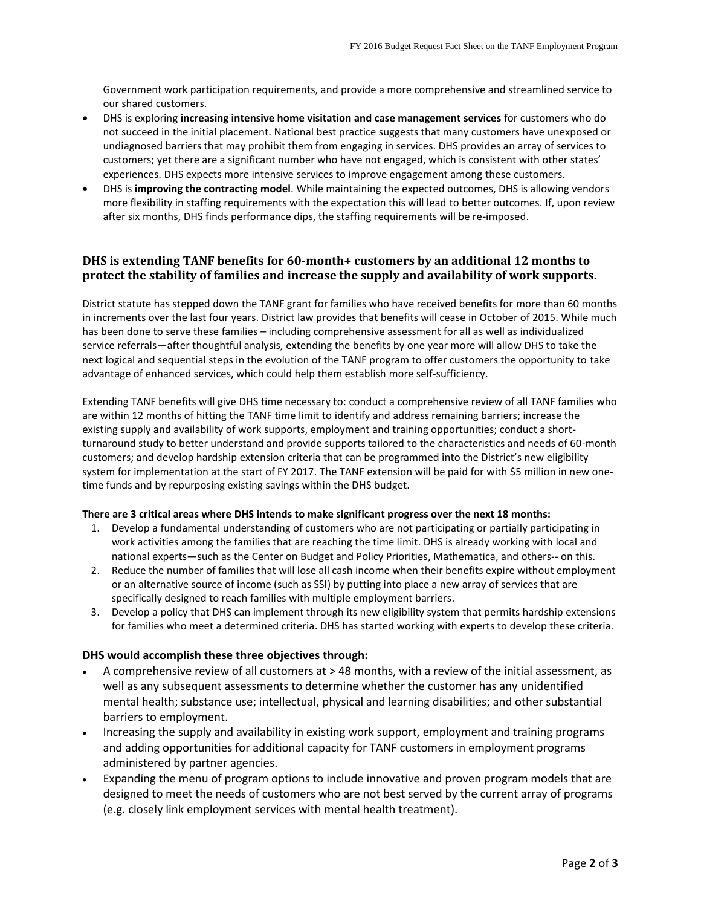Government work participation requirements, and provide a more comprehensive and streamlined service to our shared customers.

- DHS is exploring **increasing intensive home visitation and case management services** for customers who do not succeed in the initial placement. National best practice suggests that many customers have unexposed or undiagnosed barriers that may prohibit them from engaging in services. DHS provides an array of services to customers; yet there are a significant number who have not engaged, which is consistent with other states' experiences. DHS expects more intensive services to improve engagement among these customers.
- DHS is **improving the contracting model**. While maintaining the expected outcomes, DHS is allowing vendors more flexibility in staffing requirements with the expectation this will lead to better outcomes. If, upon review after six months, DHS finds performance dips, the staffing requirements will be re-imposed.

## **DHS is extending TANF benefits for 60-month+ customers by an additional 12 months to protect the stability of families and increase the supply and availability of work supports.**

District statute has stepped down the TANF grant for families who have received benefits for more than 60 months in increments over the last four years. District law provides that benefits will cease in October of 2015. While much has been done to serve these families – including comprehensive assessment for all as well as individualized service referrals—after thoughtful analysis, extending the benefits by one year more will allow DHS to take the next logical and sequential steps in the evolution of the TANF program to offer customers the opportunity to take advantage of enhanced services, which could help them establish more self-sufficiency.

Extending TANF benefits will give DHS time necessary to: conduct a comprehensive review of all TANF families who are within 12 months of hitting the TANF time limit to identify and address remaining barriers; increase the existing supply and availability of work supports, employment and training opportunities; conduct a shortturnaround study to better understand and provide supports tailored to the characteristics and needs of 60-month customers; and develop hardship extension criteria that can be programmed into the District's new eligibility system for implementation at the start of FY 2017. The TANF extension will be paid for with \$5 million in new onetime funds and by repurposing existing savings within the DHS budget.

### **There are 3 critical areas where DHS intends to make significant progress over the next 18 months:**

- 1. Develop a fundamental understanding of customers who are not participating or partially participating in work activities among the families that are reaching the time limit. DHS is already working with local and national experts—such as the Center on Budget and Policy Priorities, Mathematica, and others-- on this.
- 2. Reduce the number of families that will lose all cash income when their benefits expire without employment or an alternative source of income (such as SSI) by putting into place a new array of services that are specifically designed to reach families with multiple employment barriers.
- 3. Develop a policy that DHS can implement through its new eligibility system that permits hardship extensions for families who meet a determined criteria. DHS has started working with experts to develop these criteria.

### **DHS would accomplish these three objectives through:**

- A comprehensive review of all customers at > 48 months, with a review of the initial assessment, as well as any subsequent assessments to determine whether the customer has any unidentified mental health; substance use; intellectual, physical and learning disabilities; and other substantial barriers to employment.
- Increasing the supply and availability in existing work support, employment and training programs and adding opportunities for additional capacity for TANF customers in employment programs administered by partner agencies.
- Expanding the menu of program options to include innovative and proven program models that are designed to meet the needs of customers who are not best served by the current array of programs (e.g. closely link employment services with mental health treatment).